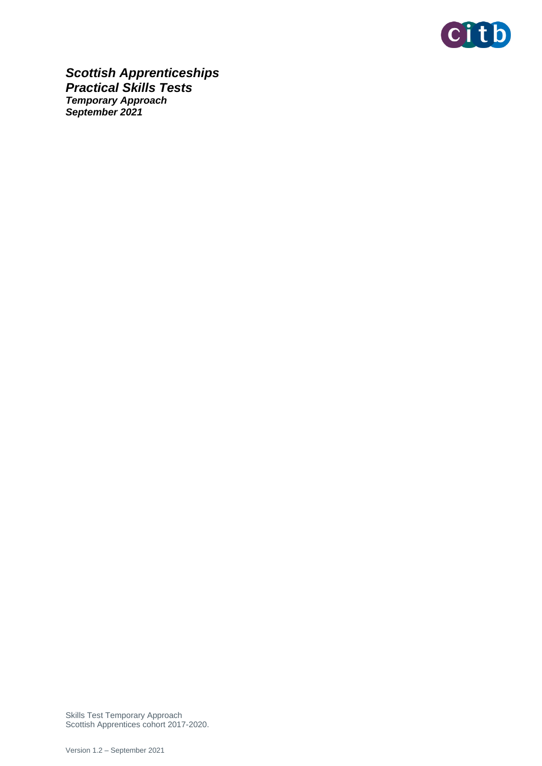

*Scottish Apprenticeships Practical Skills Tests Temporary Approach September 2021*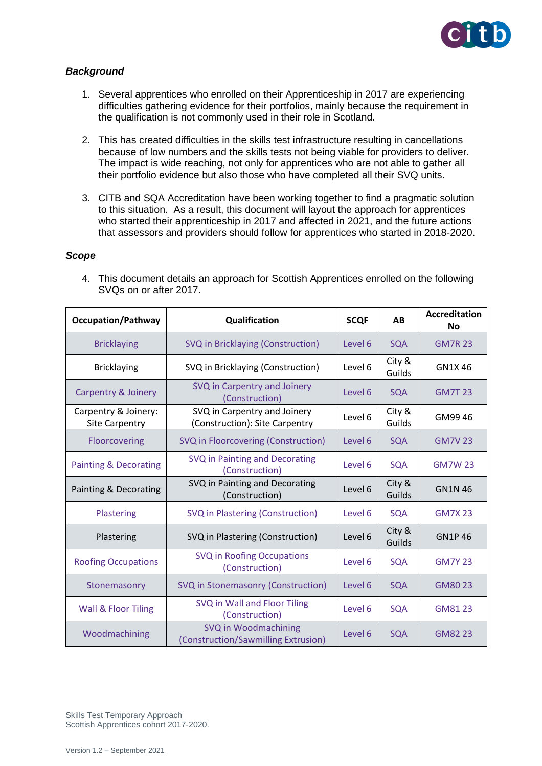

# *Background*

- 1. Several apprentices who enrolled on their Apprenticeship in 2017 are experiencing difficulties gathering evidence for their portfolios, mainly because the requirement in the qualification is not commonly used in their role in Scotland.
- 2. This has created difficulties in the skills test infrastructure resulting in cancellations because of low numbers and the skills tests not being viable for providers to deliver. The impact is wide reaching, not only for apprentices who are not able to gather all their portfolio evidence but also those who have completed all their SVQ units.
- 3. CITB and SQA Accreditation have been working together to find a pragmatic solution to this situation. As a result, this document will layout the approach for apprentices who started their apprenticeship in 2017 and affected in 2021, and the future actions that assessors and providers should follow for apprentices who started in 2018-2020.

### *Scope*

4. This document details an approach for Scottish Apprentices enrolled on the following SVQs on or after 2017.

| <b>Occupation/Pathway</b>                     | Qualification                                                  |         | AB               | <b>Accreditation</b><br><b>No</b> |
|-----------------------------------------------|----------------------------------------------------------------|---------|------------------|-----------------------------------|
| <b>Bricklaying</b>                            | SVQ in Bricklaying (Construction)                              | Level 6 | <b>SQA</b>       | <b>GM7R 23</b>                    |
| <b>Bricklaying</b>                            | SVQ in Bricklaying (Construction)                              | Level 6 | City &<br>Guilds | GN1X 46                           |
| <b>Carpentry &amp; Joinery</b>                | SVQ in Carpentry and Joinery<br>(Construction)                 | Level 6 | <b>SQA</b>       | <b>GM7T 23</b>                    |
| Carpentry & Joinery:<br><b>Site Carpentry</b> | SVQ in Carpentry and Joinery<br>(Construction): Site Carpentry | Level 6 | City &<br>Guilds | GM99 46                           |
| Floorcovering                                 | SVQ in Floorcovering (Construction)                            | Level 6 | <b>SQA</b>       | <b>GM7V23</b>                     |
| <b>Painting &amp; Decorating</b>              | SVQ in Painting and Decorating<br>(Construction)               | Level 6 | <b>SQA</b>       | <b>GM7W 23</b>                    |
| Painting & Decorating                         | SVQ in Painting and Decorating<br>(Construction)               | Level 6 | City &<br>Guilds | <b>GN1N46</b>                     |
| Plastering                                    | SVQ in Plastering (Construction)                               | Level 6 | <b>SQA</b>       | <b>GM7X23</b>                     |
| Plastering                                    | SVQ in Plastering (Construction)                               | Level 6 | City &<br>Guilds | <b>GN1P46</b>                     |
| <b>Roofing Occupations</b>                    | <b>SVQ in Roofing Occupations</b><br>(Construction)            | Level 6 | <b>SQA</b>       | <b>GM7Y 23</b>                    |
| Stonemasonry                                  | SVQ in Stonemasonry (Construction)                             | Level 6 | <b>SQA</b>       | GM80 23                           |
| Wall & Floor Tiling                           | SVQ in Wall and Floor Tiling<br>(Construction)                 | Level 6 | <b>SQA</b>       | GM81 23                           |
| Woodmachining                                 | SVQ in Woodmachining<br>(Construction/Sawmilling Extrusion)    | Level 6 | <b>SQA</b>       | GM82 23                           |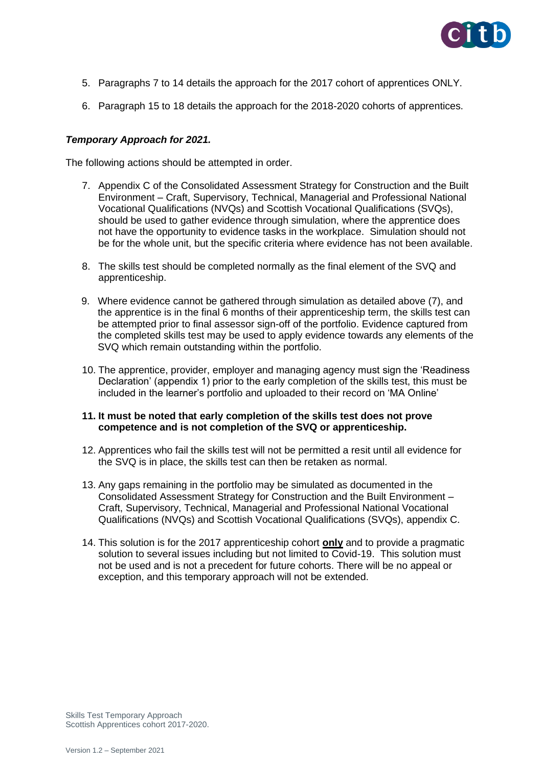

- 5. Paragraphs 7 to 14 details the approach for the 2017 cohort of apprentices ONLY.
- 6. Paragraph 15 to 18 details the approach for the 2018-2020 cohorts of apprentices.

# *Temporary Approach for 2021.*

The following actions should be attempted in order.

- 7. Appendix C of the Consolidated Assessment Strategy for Construction and the Built Environment – Craft, Supervisory, Technical, Managerial and Professional National Vocational Qualifications (NVQs) and Scottish Vocational Qualifications (SVQs), should be used to gather evidence through simulation, where the apprentice does not have the opportunity to evidence tasks in the workplace. Simulation should not be for the whole unit, but the specific criteria where evidence has not been available.
- 8. The skills test should be completed normally as the final element of the SVQ and apprenticeship.
- 9. Where evidence cannot be gathered through simulation as detailed above (7), and the apprentice is in the final 6 months of their apprenticeship term, the skills test can be attempted prior to final assessor sign-off of the portfolio. Evidence captured from the completed skills test may be used to apply evidence towards any elements of the SVQ which remain outstanding within the portfolio.
- 10. The apprentice, provider, employer and managing agency must sign the 'Readiness Declaration' (appendix 1) prior to the early completion of the skills test, this must be included in the learner's portfolio and uploaded to their record on 'MA Online'

### **11. It must be noted that early completion of the skills test does not prove competence and is not completion of the SVQ or apprenticeship.**

- 12. Apprentices who fail the skills test will not be permitted a resit until all evidence for the SVQ is in place, the skills test can then be retaken as normal.
- 13. Any gaps remaining in the portfolio may be simulated as documented in the Consolidated Assessment Strategy for Construction and the Built Environment – Craft, Supervisory, Technical, Managerial and Professional National Vocational Qualifications (NVQs) and Scottish Vocational Qualifications (SVQs), appendix C.
- 14. This solution is for the 2017 apprenticeship cohort **only** and to provide a pragmatic solution to several issues including but not limited to Covid-19. This solution must not be used and is not a precedent for future cohorts. There will be no appeal or exception, and this temporary approach will not be extended.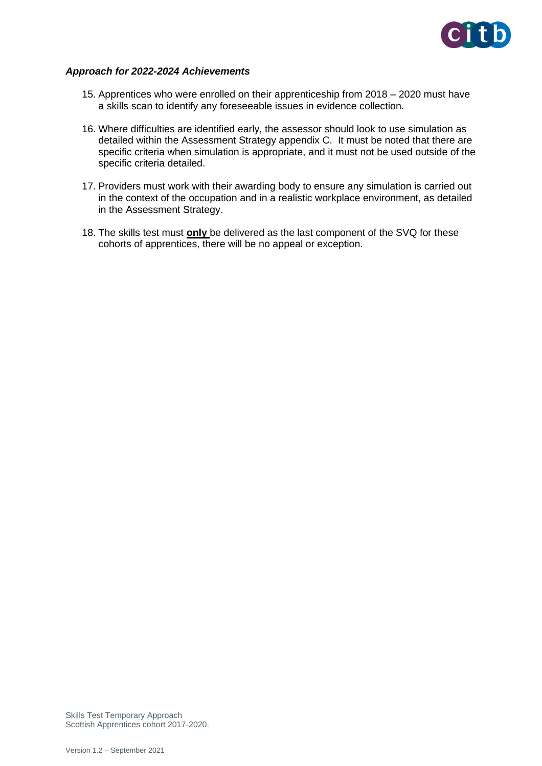

### *Approach for 2022-2024 Achievements*

- 15. Apprentices who were enrolled on their apprenticeship from 2018 2020 must have a skills scan to identify any foreseeable issues in evidence collection.
- 16. Where difficulties are identified early, the assessor should look to use simulation as detailed within the Assessment Strategy appendix C. It must be noted that there are specific criteria when simulation is appropriate, and it must not be used outside of the specific criteria detailed.
- 17. Providers must work with their awarding body to ensure any simulation is carried out in the context of the occupation and in a realistic workplace environment, as detailed in the Assessment Strategy.
- 18. The skills test must **only** be delivered as the last component of the SVQ for these cohorts of apprentices, there will be no appeal or exception.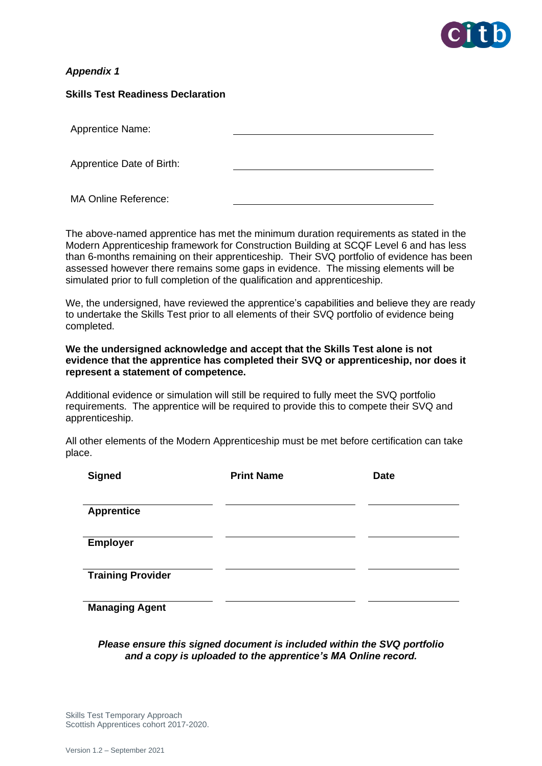

# *Appendix 1*

### **Skills Test Readiness Declaration**

| <b>Apprentice Name:</b>   |  |
|---------------------------|--|
|                           |  |
| Apprentice Date of Birth: |  |
|                           |  |

MA Online Reference:

The above-named apprentice has met the minimum duration requirements as stated in the Modern Apprenticeship framework for Construction Building at SCQF Level 6 and has less than 6-months remaining on their apprenticeship. Their SVQ portfolio of evidence has been assessed however there remains some gaps in evidence. The missing elements will be simulated prior to full completion of the qualification and apprenticeship.

We, the undersigned, have reviewed the apprentice's capabilities and believe they are ready to undertake the Skills Test prior to all elements of their SVQ portfolio of evidence being completed.

### **We the undersigned acknowledge and accept that the Skills Test alone is not evidence that the apprentice has completed their SVQ or apprenticeship, nor does it represent a statement of competence.**

Additional evidence or simulation will still be required to fully meet the SVQ portfolio requirements. The apprentice will be required to provide this to compete their SVQ and apprenticeship.

All other elements of the Modern Apprenticeship must be met before certification can take place.

| <b>Signed</b>            | <b>Print Name</b> | <b>Date</b> |
|--------------------------|-------------------|-------------|
|                          |                   |             |
| <b>Apprentice</b>        |                   |             |
|                          |                   |             |
| <b>Employer</b>          |                   |             |
|                          |                   |             |
| <b>Training Provider</b> |                   |             |
|                          |                   |             |
| <b>Managing Agent</b>    |                   |             |

## *Please ensure this signed document is included within the SVQ portfolio and a copy is uploaded to the apprentice's MA Online record.*